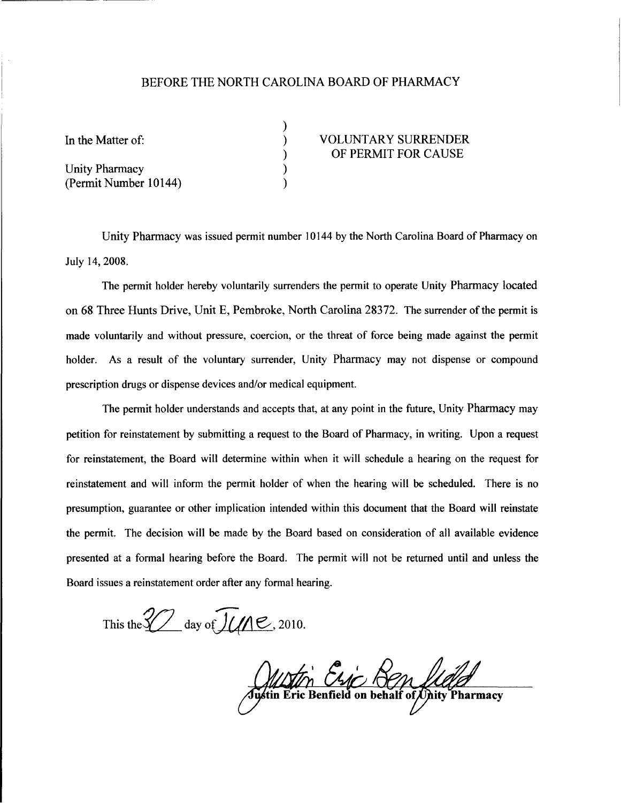## BEFORE THE NORTH CAROLINA BOARD OF PHARMACY

) ) ) ) )

Unity Pharmacy (Permit Number 10144)

## VOLUNTARY SURRENDER OF PERMIT FOR CAUSE

Unity Pharmacy was issued permit number 10144 by the North Carolina Board of Pharmacy on July 14, 2008.

The permit holder hereby voluntarily surrenders the permit to operate Unity Pharmacy located on 68 Three Hunts Drive, Unit E, Pembroke, North Carolina 28372. The surrender ofthe permit is made voluntarily and without pressure, coercion, or the threat of force being made against the permit holder. As a result of the voluntary surrender, Unity Pharmacy may not dispense or compound prescription drugs or dispense devices and/or medical equipment.

The permit holder understands and accepts that, at any point in the future, Unity Pharmacy may petition for reinstatement by submitting a request to the Board of Pharmacy, in writing. Upon a request for reinstatement, the Board will determine within when it will schedule a hearing on the request for reinstatement and will inform the permit holder of when the hearing will be scheduled. There is no presumption, guarantee or other implication intended within this document that the Board will reinstate the permit. The decision will be made by the Board based on consideration of all available evidence presented at a formal hearing before the Board. The permit will not be returned until and unless the Board issues a reinstatement order after any formal hearing.

This the  $\frac{2}{\sqrt{1}}$  day of  $\sqrt{1/\sqrt{2}}$ , 2010.

Alloffri Chic Ren Lleigh